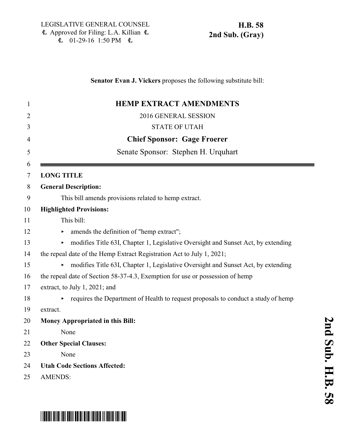### **Senator Evan J. Vickers** proposes the following substitute bill:

| $\mathbf{1}$   | <b>HEMP EXTRACT AMENDMENTS</b>                                                         |
|----------------|----------------------------------------------------------------------------------------|
| $\overline{2}$ | 2016 GENERAL SESSION                                                                   |
| 3              | <b>STATE OF UTAH</b>                                                                   |
| 4              | <b>Chief Sponsor: Gage Froerer</b>                                                     |
| 5              | Senate Sponsor: Stephen H. Urquhart                                                    |
| 6<br>7         | <b>LONG TITLE</b>                                                                      |
| 8              | <b>General Description:</b>                                                            |
| 9              | This bill amends provisions related to hemp extract.                                   |
| 10             | <b>Highlighted Provisions:</b>                                                         |
| 11             | This bill:                                                                             |
| 12             | amends the definition of "hemp extract";                                               |
| 13             | modifies Title 63I, Chapter 1, Legislative Oversight and Sunset Act, by extending      |
| 14             | the repeal date of the Hemp Extract Registration Act to July 1, 2021;                  |
| 15             | modifies Title 63I, Chapter 1, Legislative Oversight and Sunset Act, by extending      |
| 16             | the repeal date of Section 58-37-4.3, Exemption for use or possession of hemp          |
| 17             | extract, to July 1, 2021; and                                                          |
| 18             | requires the Department of Health to request proposals to conduct a study of hemp<br>▶ |
| 19             | extract.                                                                               |
| 20             | <b>Money Appropriated in this Bill:</b>                                                |
| 21             | None                                                                                   |
| 22             | <b>Other Special Clauses:</b>                                                          |
| 23             | None                                                                                   |
| 24             | <b>Utah Code Sections Affected:</b>                                                    |
| 25             | <b>AMENDS:</b>                                                                         |

# \*HB0058S02\*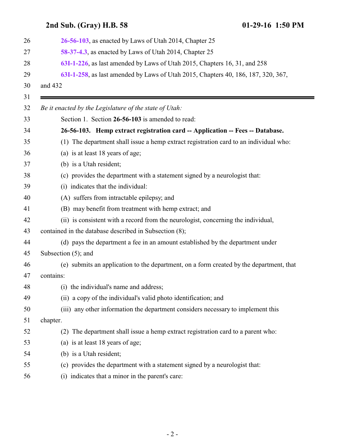## **2nd Sub. (Gray) H.B. 58 01-29-16 1:50 PM [26-56-103](#page-1-0)**, as enacted by Laws of Utah 2014, Chapter 25 **[58-37-4.3](#page-3-0)**, as enacted by Laws of Utah 2014, Chapter 25 **[63I-1-226](#page-4-0)**, as last amended by Laws of Utah 2015, Chapters 16, 31, and 258 **[63I-1-258](#page-5-0)**, as last amended by Laws of Utah 2015, Chapters 40, 186, 187, 320, 367, and 432 *Be it enacted by the Legislature of the state of Utah:* Section 1. Section **26-56-103** is amended to read: **26-56-103. Hemp extract registration card -- Application -- Fees -- Database.**

- <span id="page-1-0"></span>(1) The department shall issue a hemp extract registration card to an individual who:
- (a) is at least 18 years of age;
- (b) is a Utah resident;
- (c) provides the department with a statement signed by a neurologist that:
- (i) indicates that the individual:
- (A) suffers from intractable epilepsy; and
- (B) may benefit from treatment with hemp extract; and
- (ii) is consistent with a record from the neurologist, concerning the individual,
- contained in the database described in Subsection (8);
- (d) pays the department a fee in an amount established by the department under
- Subsection (5); and
- (e) submits an application to the department, on a form created by the department, that contains:
- (i) the individual's name and address;
- (ii) a copy of the individual's valid photo identification; and
- (iii) any other information the department considers necessary to implement this

chapter.

- (2) The department shall issue a hemp extract registration card to a parent who:
- (a) is at least 18 years of age;
- (b) is a Utah resident;
- (c) provides the department with a statement signed by a neurologist that:
- (i) indicates that a minor in the parent's care: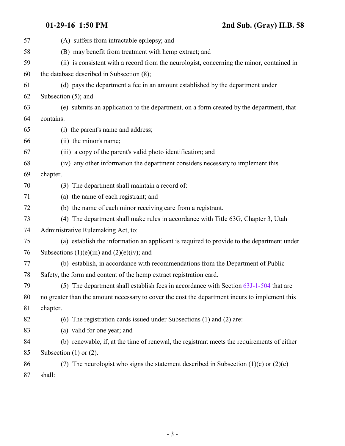| 57 | (A) suffers from intractable epilepsy; and                                                     |
|----|------------------------------------------------------------------------------------------------|
| 58 | (B) may benefit from treatment with hemp extract; and                                          |
| 59 | (ii) is consistent with a record from the neurologist, concerning the minor, contained in      |
| 60 | the database described in Subsection (8);                                                      |
| 61 | (d) pays the department a fee in an amount established by the department under                 |
| 62 | Subsection $(5)$ ; and                                                                         |
| 63 | (e) submits an application to the department, on a form created by the department, that        |
| 64 | contains:                                                                                      |
| 65 | (i) the parent's name and address;                                                             |
| 66 | (ii) the minor's name;                                                                         |
| 67 | (iii) a copy of the parent's valid photo identification; and                                   |
| 68 | (iv) any other information the department considers necessary to implement this                |
| 69 | chapter.                                                                                       |
| 70 | (3) The department shall maintain a record of:                                                 |
| 71 | (a) the name of each registrant; and                                                           |
| 72 | (b) the name of each minor receiving care from a registrant.                                   |
| 73 | (4) The department shall make rules in accordance with Title 63G, Chapter 3, Utah              |
| 74 | Administrative Rulemaking Act, to:                                                             |
| 75 | (a) establish the information an applicant is required to provide to the department under      |
| 76 | Subsections $(1)(e)(iii)$ and $(2)(e)(iv)$ ; and                                               |
| 77 | (b) establish, in accordance with recommendations from the Department of Public                |
| 78 | Safety, the form and content of the hemp extract registration card.                            |
| 79 | (5) The department shall establish fees in accordance with Section 63J-1-504 that are          |
| 80 | no greater than the amount necessary to cover the cost the department incurs to implement this |
| 81 | chapter.                                                                                       |
| 82 | (6) The registration cards issued under Subsections (1) and (2) are:                           |
| 83 | (a) valid for one year; and                                                                    |
| 84 | (b) renewable, if, at the time of renewal, the registrant meets the requirements of either     |
| 85 | Subsection $(1)$ or $(2)$ .                                                                    |
| 86 | (7) The neurologist who signs the statement described in Subsection $(1)(c)$ or $(2)(c)$       |
| 87 | shall:                                                                                         |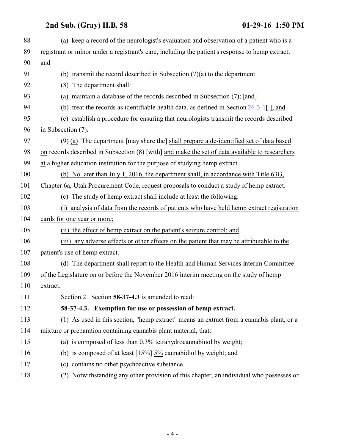## **2nd Sub. (Gray) H.B. 58 01-29-16 1:50 PM**

<span id="page-3-0"></span>

| 88  | (a) keep a record of the neurologist's evaluation and observation of a patient who is a            |
|-----|----------------------------------------------------------------------------------------------------|
| 89  | registrant or minor under a registrant's care, including the patient's response to hemp extract;   |
| 90  | and                                                                                                |
| 91  | (b) transmit the record described in Subsection $(7)(a)$ to the department.                        |
| 92  | (8) The department shall:                                                                          |
| 93  | (a) maintain a database of the records described in Subsection $(7)$ ; [and]                       |
| 94  | (b) treat the records as identifiable health data, as defined in Section $26-3-1$ [.]; and         |
| 95  | (c) establish a procedure for ensuring that neurologists transmit the records described            |
| 96  | in Subsection $(7)$ .                                                                              |
| 97  | (9) (a) The department $[\frac{may}{gt}$ share the shall prepare a de-identified set of data based |
| 98  | on records described in Subsection (8) [with] and make the set of data available to researchers    |
| 99  | at a higher education institution for the purpose of studying hemp extract.                        |
| 100 | (b) No later than July 1, 2016, the department shall, in accordance with Title 63G,                |
| 101 | Chapter 6a, Utah Procurement Code, request proposals to conduct a study of hemp extract.           |
| 102 | (c) The study of hemp extract shall include at least the following:                                |
| 103 | (i) analysis of data from the records of patients who have held hemp extract registration          |
| 104 | cards for one year or more;                                                                        |
| 105 | (ii) the effect of hemp extract on the patient's seizure control; and                              |
| 106 | (iii) any adverse effects or other effects on the patient that may be attributable to the          |
| 107 | patient's use of hemp extract.                                                                     |
| 108 | (d) The department shall report to the Health and Human Services Interim Committee                 |
| 109 | of the Legislature on or before the November 2016 interim meeting on the study of hemp             |
| 110 | extract.                                                                                           |
| 111 | Section 2. Section 58-37-4.3 is amended to read:                                                   |
| 112 | 58-37-4.3. Exemption for use or possession of hemp extract.                                        |
| 113 | (1) As used in this section, "hemp extract" means an extract from a cannabis plant, or a           |
| 114 | mixture or preparation containing cannabis plant material, that:                                   |
| 115 | (a) is composed of less than 0.3% tetrahydrocannabinol by weight;                                  |
| 116 | (b) is composed of at least $[15\%]$ 5% cannabidiol by weight; and                                 |
| 117 | (c) contains no other psychoactive substance.                                                      |
| 118 | (2) Notwithstanding any other provision of this chapter, an individual who possesses or            |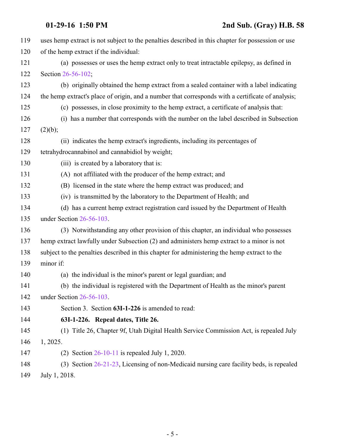<span id="page-4-0"></span>

| 119 | uses hemp extract is not subject to the penalties described in this chapter for possession or use |
|-----|---------------------------------------------------------------------------------------------------|
| 120 | of the hemp extract if the individual:                                                            |
| 121 | (a) possesses or uses the hemp extract only to treat intractable epilepsy, as defined in          |
| 122 | Section 26-56-102;                                                                                |
| 123 | (b) originally obtained the hemp extract from a sealed container with a label indicating          |
| 124 | the hemp extract's place of origin, and a number that corresponds with a certificate of analysis; |
| 125 | (c) possesses, in close proximity to the hemp extract, a certificate of analysis that:            |
| 126 | (i) has a number that corresponds with the number on the label described in Subsection            |
| 127 | (2)(b);                                                                                           |
| 128 | (ii) indicates the hemp extract's ingredients, including its percentages of                       |
| 129 | tetrahydrocannabinol and cannabidiol by weight;                                                   |
| 130 | (iii) is created by a laboratory that is:                                                         |
| 131 | (A) not affiliated with the producer of the hemp extract; and                                     |
| 132 | (B) licensed in the state where the hemp extract was produced; and                                |
| 133 | (iv) is transmitted by the laboratory to the Department of Health; and                            |
| 134 | (d) has a current hemp extract registration card issued by the Department of Health               |
| 135 | under Section 26-56-103.                                                                          |
| 136 | (3) Notwithstanding any other provision of this chapter, an individual who possesses              |
| 137 | hemp extract lawfully under Subsection (2) and administers hemp extract to a minor is not         |
| 138 | subject to the penalties described in this chapter for administering the hemp extract to the      |
| 139 | minor if:                                                                                         |
| 140 | (a) the individual is the minor's parent or legal guardian; and                                   |
| 141 | (b) the individual is registered with the Department of Health as the minor's parent              |
| 142 | under Section 26-56-103.                                                                          |
| 143 | Section 3. Section 63I-1-226 is amended to read:                                                  |
| 144 | 63I-1-226. Repeal dates, Title 26.                                                                |
| 145 | (1) Title 26, Chapter 9f, Utah Digital Health Service Commission Act, is repealed July            |
| 146 | 1, 2025.                                                                                          |
| 147 | (2) Section $26-10-11$ is repealed July 1, 2020.                                                  |
| 148 | (3) Section 26-21-23, Licensing of non-Medicaid nursing care facility beds, is repealed           |
| 149 | July 1, 2018.                                                                                     |